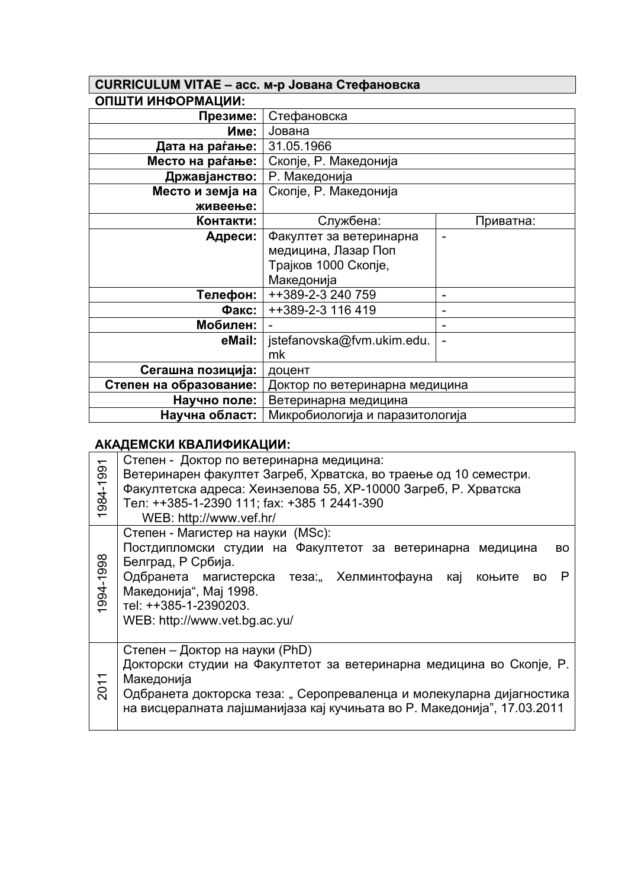| <b>CURRICULUM VITAE - асс. м-р Јована Стефановска</b> |                                 |                |
|-------------------------------------------------------|---------------------------------|----------------|
| ОПШТИ ИНФОРМАЦИИ:                                     |                                 |                |
| Презиме:                                              | Стефановска                     |                |
| Име:                                                  | Јована                          |                |
| Дата на раѓање:                                       | 31.05.1966                      |                |
| Место на раѓање:                                      | Скопје, Р. Македонија           |                |
| Државјанство:                                         | Р. Македонија                   |                |
| Место и земја на                                      | Скопје, Р. Македонија           |                |
| живеење:                                              |                                 |                |
| Контакти:                                             | Службена:                       | Приватна:      |
| Адреси:                                               | Факултет за ветеринарна         | $\overline{a}$ |
|                                                       | медицина, Лазар Поп             |                |
|                                                       | Трајков 1000 Скопје,            |                |
|                                                       | Македонија                      |                |
| Телефон:                                              | ++389-2-3 240 759               |                |
| Факс:                                                 | ++389-2-3 116 419               | -              |
| Мобилен:                                              |                                 |                |
| eMail:                                                | jstefanovska@fvm.ukim.edu.      |                |
|                                                       | mk                              |                |
| Сегашна позиција:                                     | доцент                          |                |
| Степен на образование:                                | Доктор по ветеринарна медицина  |                |
| Научно поле:                                          | Ветеринарна медицина            |                |
| Научна област:                                        | Микробиологија и паразитологија |                |

┑

## **АКАДЕМСКИ КВАЛИФИКАЦИИ:**

| 984-1991<br>$\overline{\phantom{0}}$ | Степен - Доктор по ветеринарна медицина:<br>Ветеринарен факултет Загреб, Хрватска, во траење од 10 семестри.<br>Факултетска адреса: Хеинзелова 55, ХР-10000 Загреб, Р. Хрватска<br>Тел: ++385-1-2390 111; fax: +385 1 2441-390<br>WEB: http://www.vef.hr/                            |  |
|--------------------------------------|--------------------------------------------------------------------------------------------------------------------------------------------------------------------------------------------------------------------------------------------------------------------------------------|--|
| 1994-1998                            | Степен - Магистер на науки (MSc):<br>Постдипломски студии на Факултетот за ветеринарна медицина<br>BO<br>Белград, Р Србија.<br>Одбранета магистерска теза., Хелминтофауна кај коњите<br>P<br>BO.<br>Македонија", Мај 1998.<br>Tel: ++385-1-2390203.<br>WEB: http://www.vet.bg.ac.yu/ |  |
| 2011                                 | Степен - Доктор на науки (PhD)<br>Докторски студии на Факултетот за ветеринарна медицина во Скопје, Р.<br>Македонија<br>Одбранета докторска теза: "Серопреваленца и молекуларна дијагностика<br>на висцералната лајшманијаза кај кучињата во Р. Македонија", 17.03.2011              |  |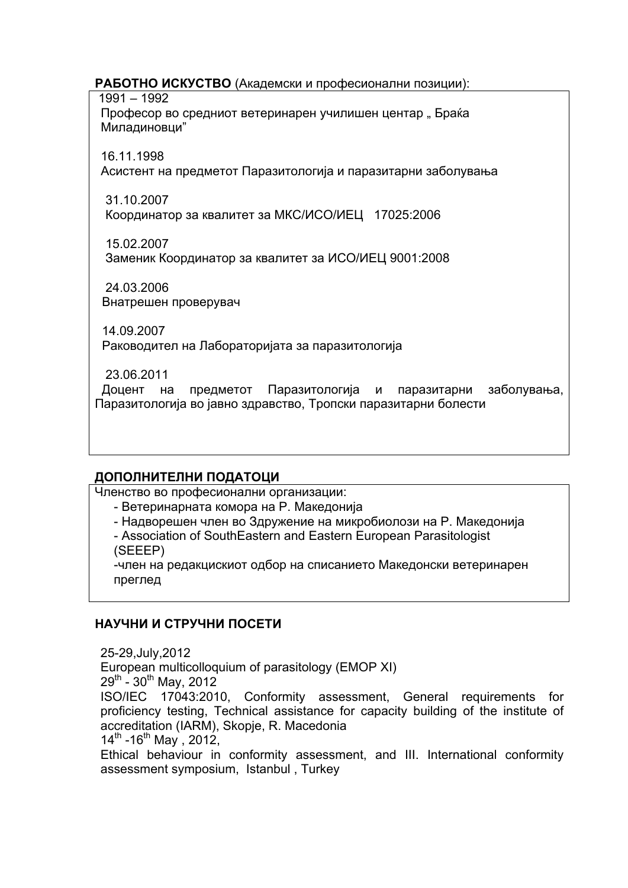#### **РАБОТНО ИСКУСТВО** (Академски и професионални позиции):

 1991 – 1992 Професор во средниот ветеринарен училишен центар "Браќа Миладиновци"

16.11.1998

Асистент на предметот Паразитологија и паразитарни заболувања

 31.10.2007 Координатор за квалитет за МКС/ИСО/ИЕЦ 17025:2006

 15.02.2007 Заменик Координатор за квалитет за ИСО/ИЕЦ 9001:2008

 24.03.2006 Внатрешен проверувач

 14.09.2007 Раководител на Лабораторијата за паразитологија

23.06.2011

 Доцент на предметот Паразитологија и паразитарни заболувања, Паразитологија во јавно здравство, Тропски паразитарни болести

# **ДОПОЛНИТЕЛНИ ПОДАТОЦИ**

Членство во професионални организации:

- Ветеринарната комора на Р. Македонија
- Надворешен член во Здружение на микробиолози на Р. Македонија

- Association of SouthEastern and Eastern European Parasitologist (SEEEP)

-член на редакцискиот одбор на списанието Македонски ветеринарен преглед

# **НАУЧНИ И СТРУЧНИ ПОСЕТИ**

25-29,July,2012 European multicolloquium of parasitology (EMOP XI)  $29^{th}$  - 30<sup>th</sup> May, 2012 ISO/IEC 17043:2010, Conformity assessment, General requirements for proficiency testing, Technical assistance for capacity building of the institute of accreditation (IARM), Skopje, R. Macedonia  $14^{th}$  -16<sup>th</sup> May, 2012, Ethical behaviour in conformity assessment, and III. International conformity assessment symposium, Istanbul , Turkey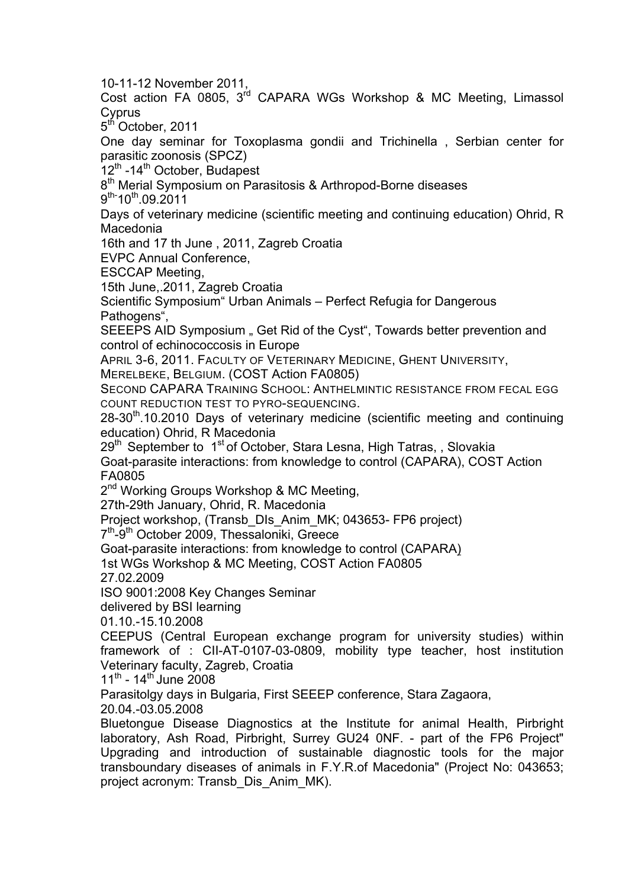10-11-12 November 2011,

Cost action FA 0805, 3<sup>rd</sup> CAPARA WGs Workshop & MC Meeting, Limassol **Cyprus** 

5<sup>th</sup> October, 2011

One day seminar for Toxoplasma gondii and Trichinella , Serbian center for parasitic zoonosis (SPCZ)

12<sup>th</sup> -14<sup>th</sup> October, Budapest

8<sup>th</sup> Merial Symposium on Parasitosis & Arthropod-Borne diseases

9<sup>th-</sup>10<sup>th</sup>.09.2011

Days of veterinary medicine (scientific meeting and continuing education) Ohrid, R Macedonia

16th and 17 th June , 2011, Zagreb Croatia

EVPC Annual Conference,

ESCCAP Meeting,

15th June,.2011, Zagreb Croatia

Scientific Symposium" Urban Animals – Perfect Refugia for Dangerous Pathogens".

SEEEPS AID Symposium . Get Rid of the Cyst<sup>\*</sup>, Towards better prevention and control of echinococcosis in Europe

APRIL 3-6, 2011. FACULTY OF VETERINARY MEDICINE, GHENT UNIVERSITY,

MERELBEKE, BELGIUM. (COST Action FA0805)

SECOND CAPARA TRAINING SCHOOL: ANTHELMINTIC RESISTANCE FROM FECAL EGG COUNT REDUCTION TEST TO PYRO-SEQUENCING.

28-30<sup>th</sup>.10.2010 Days of veterinary medicine (scientific meeting and continuing education) Ohrid, R Macedonia

29<sup>th</sup> September to 1<sup>st</sup> of October, Stara Lesna, High Tatras, , Slovakia

Goat-parasite interactions: from knowledge to control (CAPARA), COST Action FA0805

2<sup>nd</sup> Working Groups Workshop & MC Meeting,

27th-29th January, Ohrid, R. Macedonia

Project workshop, (Transb\_DIs\_Anim\_MK; 043653- FP6 project)

7<sup>th</sup>-9<sup>th</sup> October 2009, Thessaloniki, Greece

Goat-parasite interactions: from knowledge to control (CAPARA)

1st WGs Workshop & MC Meeting, COST Action FA0805

27.02.2009

ISO 9001:2008 Key Changes Seminar

delivered by BSI learning

01.10.-15.10.2008

CEEPUS (Central European exchange program for university studies) within framework of : CII-AT-0107-03-0809, mobility type teacher, host institution Veterinary faculty, Zagreb, Croatia

 $11^{th}$  -  $14^{th}$  June 2008

Parasitolgy days in Bulgaria, First SEEEP conference, Stara Zagaora,

20.04.-03.05.2008

Bluetongue Disease Diagnostics at the Institute for animal Health, Pirbright laboratory, Ash Road, Pirbright, Surrey GU24 0NF. - part of the FP6 Project" Upgrading and introduction of sustainable diagnostic tools for the major transboundary diseases of animals in F.Y.R.of Macedonia" (Project No: 043653; project acronym: Transb\_Dis\_Anim\_MK).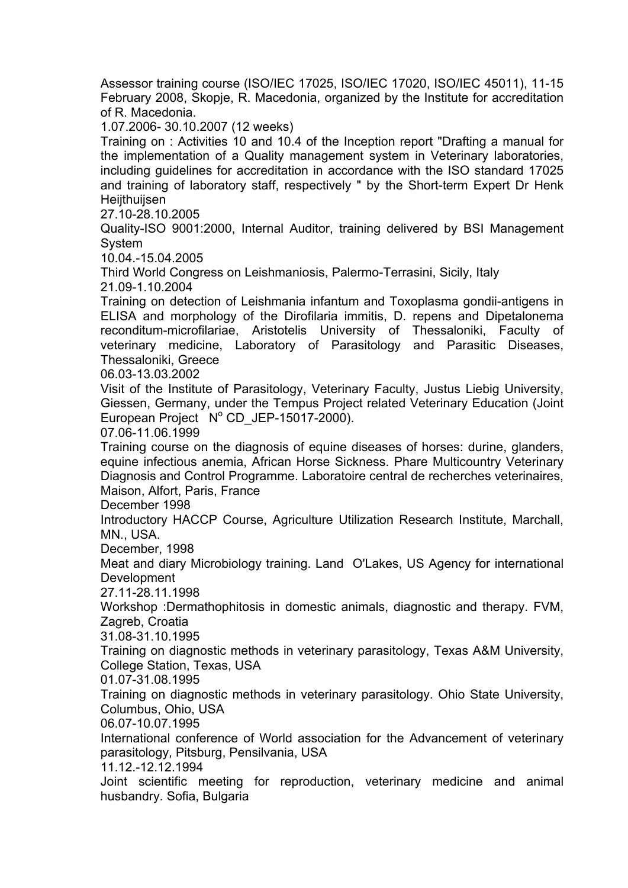Assessor training course (ISO/IEC 17025, ISO/IEC 17020, ISO/IEC 45011), 11-15 February 2008, Skopje, R. Macedonia, organized by the Institute for accreditation of R. Macedonia.

1.07.2006- 30.10.2007 (12 weeks)

Training on : Activities 10 and 10.4 of the Inception report "Drafting a manual for the implementation of a Quality management system in Veterinary laboratories, including guidelines for accreditation in accordance with the ISO standard 17025 and training of laboratory staff, respectively " by the Short-term Expert Dr Henk **Heijthuijsen** 

27.10-28.10.2005

Quality-ISO 9001:2000, Internal Auditor, training delivered by BSI Management System

10.04.-15.04.2005

Third World Congress on Leishmaniosis, Palermo-Terrasini, Sicily, Italy 21.09-1.10.2004

Training on detection of Leishmania infantum and Toxoplasma gondii-antigens in ELISA and morphology of the Dirofilaria immitis, D. repens and Dipetalonema reconditum-microfilariae, Aristotelis University of Thessaloniki, Faculty of veterinary medicine, Laboratory of Parasitology and Parasitic Diseases, Thessaloniki, Greece

06.03-13.03.2002

Visit of the Institute of Parasitology, Veterinary Faculty, Justus Liebig University, Giessen, Germany, under the Tempus Project related Veterinary Education (Joint European Project N° CD\_JEP-15017-2000).

07.06-11.06.1999

Training course on the diagnosis of equine diseases of horses: durine, glanders, equine infectious anemia, African Horse Sickness. Phare Multicountry Veterinary Diagnosis and Control Programme. Laboratoire central de recherches veterinaires, Maison, Alfort, Paris, France

December 1998

Introductory HACCP Course, Agriculture Utilization Research Institute, Marchall, MN., USA.

December, 1998

Meat and diary Microbiology training. Land O'Lakes, US Agency for international Development

27.11-28.11.1998

Workshop :Dermathophitosis in domestic animals, diagnostic and therapy. FVM, Zagreb, Croatia

31.08-31.10.1995

Training on diagnostic methods in veterinary parasitology, Texas A&M University, College Station, Texas, USA

01.07-31.08.1995

Training on diagnostic methods in veterinary parasitology. Ohio State University, Columbus, Ohio, USA

06.07-10.07.1995

International conference of World association for the Advancement of veterinary parasitology, Pitsburg, Pensilvania, USA

11.12.-12.12.1994

Joint scientific meeting for reproduction, veterinary medicine and animal husbandry. Sofia, Bulgaria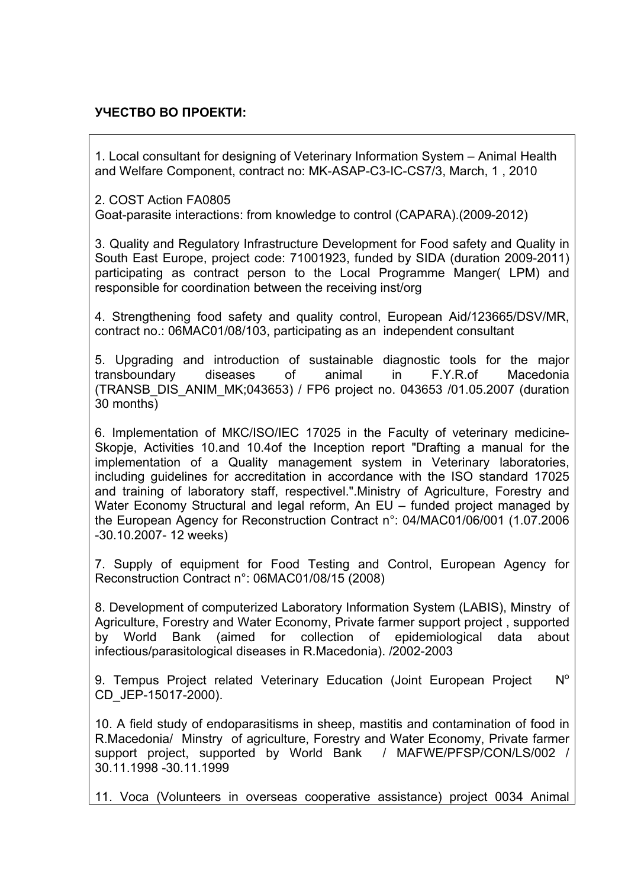### **УЧЕСТВО ВО ПРОЕКТИ:**

1. Local consultant for designing of Veterinary Information System – Animal Health and Welfare Component, contract no: MK-ASAP-C3-IC-CS7/3, March, 1 , 2010

2. COST Action FA0805

Goat-parasite interactions: from knowledge to control (CAPARA).(2009-2012)

3. Quality and Regulatory Infrastructure Development for Food safety and Quality in South East Europe, project code: 71001923, funded by SIDA (duration 2009-2011) participating as contract person to the Local Programme Manger( LPM) and responsible for coordination between the receiving inst/org

4. Strengthening food safety and quality control, European Aid/123665/DSV/MR, contract no.: 06MAC01/08/103, participating as an independent consultant

5. Upgrading and introduction of sustainable diagnostic tools for the major transboundary diseases of animal in F.Y.R.of Macedonia (TRANSB\_DIS\_ANIM\_MK;043653) / FP6 project no. 043653 /01.05.2007 (duration 30 months)

6. Implementation of МКС/ISO/IEC 17025 in the Faculty of veterinary medicine-Skopje, Activities 10.and 10.4of the Inception report "Drafting a manual for the implementation of a Quality management system in Veterinary laboratories, including guidelines for accreditation in accordance with the ISO standard 17025 and training of laboratory staff, respectivel.".Ministry of Agriculture, Forestry and Water Economy Structural and legal reform, An EU – funded project managed by the European Agency for Reconstruction Contract n°: 04/MAC01/06/001 (1.07.2006 -30.10.2007- 12 weeks)

7. Supply of equipment for Food Testing and Control, European Agency for Reconstruction Contract n°: 06MAC01/08/15 (2008)

8. Development of computerized Laboratory Information System (LABIS), Minstry of Agriculture, Forestry and Water Economy, Private farmer support project , supported by World Bank (aimed for collection of epidemiological data about infectious/parasitological diseases in R.Macedonia). /2002-2003

9. Tempus Project related Veterinary Education (Joint European Project N° CD\_JEP-15017-2000).

10. A field study of endoparasitisms in sheep, mastitis and contamination of food in R.Macedonia/ Minstry of agriculture, Forestry and Water Economy, Private farmer support project, supported by World Bank / MAFWE/PFSP/CON/LS/002 / 30.11.1998 -30.11.1999

11. Voca (Volunteers in overseas cooperative assistance) project 0034 Animal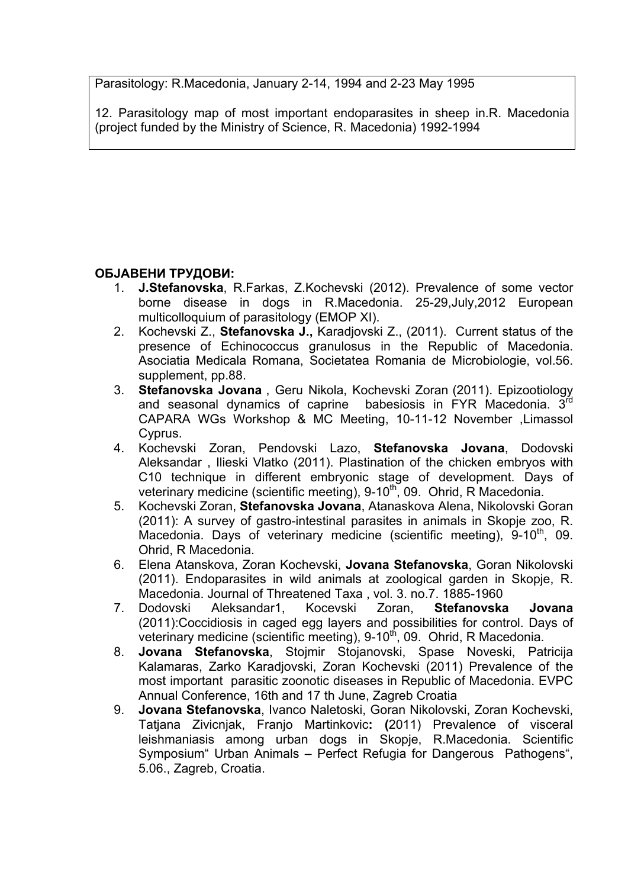Parasitology: R.Macedonia, January 2-14, 1994 and 2-23 May 1995

12. Parasitology map of most important endoparasites in sheep in.R. Macedonia (project funded by the Ministry of Science, R. Macedonia) 1992-1994

## **ОБЈАВЕНИ ТРУДОВИ:**

- 1. **J.Stefanovska**, R.Farkas, Z.Kochevski (2012). Prevalence of some vector borne disease in dogs in R.Macedonia. 25-29,July,2012 European multicolloquium of parasitology (EMOP XI).
- 2. Kochevski Z., **Stefanovska J.,** Karadjovski Z., (2011). Current status of the presence of Echinococcus granulosus in the Republic of Macedonia. Asociatia Medicala Romana, Societatea Romania de Microbiologie, vol.56. supplement, pp.88.
- 3. **Stefanovska Jovana** , Geru Nikola, Kochevski Zoran (2011). Epizootiology and seasonal dynamics of caprine babesiosis in FYR Macedonia. 3rd CAPARA WGs Workshop & MC Meeting, 10-11-12 November ,Limassol Cyprus.
- 4. Kochevski Zoran, Pendovski Lazo, **Stefanovska Jovana**, Dodovski Aleksandar , Ilieski Vlatko (2011). Plastination of the chicken embryos with C10 technique in different embryonic stage of development. Days of veterinary medicine (scientific meeting), 9-10<sup>th</sup>, 09. Ohrid, R Macedonia.
- 5. Kochevski Zoran, **Stefanovska Jovana**, Atanaskova Alena, Nikolovski Goran (2011): A survey of gastro-intestinal parasites in animals in Skopje zoo, R. Macedonia. Days of veterinary medicine (scientific meeting),  $9-10^{th}$ , 09. Ohrid, R Macedonia.
- 6. Elena Atanskova, Zoran Kochevski, **Jovana Stefanovska**, Goran Nikolovski (2011). Endoparasites in wild animals at zoological garden in Skopje, R. Macedonia. Journal of Threatened Taxa , vol. 3. no.7. 1885-1960
- 7. Dodovski Aleksandar1, Kocevski Zoran, **Stefanovska Jovana**  (2011):Coccidiosis in caged egg layers and possibilities for control. Days of veterinary medicine (scientific meeting), 9-10<sup>th</sup>, 09. Ohrid, R Macedonia.
- 8. **Jovana Stefanovska**, Stojmir Stojanovski, Spase Noveski, Patricija Kalamaras, Zarko Karadjovski, Zoran Kochevski (2011) Prevalence of the most important parasitic zoonotic diseases in Republic of Macedonia. EVPC Annual Conference, 16th and 17 th June, Zagreb Croatia
- 9. **Jovana Stefanovska**, Ivanco Naletoski, Goran Nikolovski, Zoran Kochevski, Tatjana Zivicnjak, Franjo Martinkovic**: (**2011) Prevalence of visceral leishmaniasis among urban dogs in Skopje, R.Macedonia. Scientific Symposium" Urban Animals – Perfect Refugia for Dangerous Pathogens", 5.06., Zagreb, Croatia.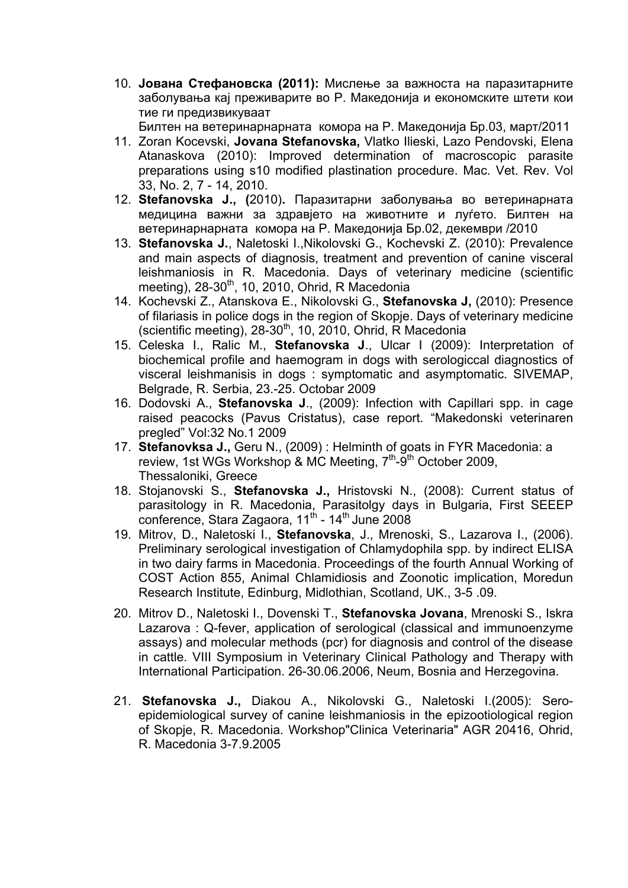10. **Јована Стефановска (2011):** Мислење за важноста на паразитарните заболувања кај преживарите во Р. Македонија и економските штети кои тие ги предизвикуваат

Билтен на ветеринарнарната комора на Р. Македонија Бр.03, март/2011

- 11. Zoran Kocevski, **Jovana Stefanovska,** Vlatko Ilieski, Lazo Pendovski, Elena Atanaskova (2010): Improved determination of macroscopic parasite preparations using s10 modified plastination procedure. Mac. Vet. Rev. Vol 33, No. 2, 7 - 14, 2010.
- 12. **Stefanovska J., (**2010)**.** Паразитарни заболувања во ветеринарната медицина важни за здравјето на животните и луѓето. Билтен на ветеринарнарната комора на Р. Македонија Бр.02, декември /2010
- 13. **Stefanovska J.**, Naletoski I.,Nikolovski G., Kochevski Z. (2010): Prevalence and main aspects of diagnosis, treatment and prevention of canine visceral leishmaniosis in R. Macedonia. Days of veterinary medicine (scientific meeting),  $28-30<sup>th</sup>$ , 10, 2010, Ohrid, R Macedonia
- 14. Kochevski Z., Atanskova E., Nikolovski G., **Stefanovska J,** (2010): Presence of filariasis in police dogs in the region of Skopje. Days of veterinary medicine (scientific meeting),  $28-30^{th}$ , 10, 2010, Ohrid, R Macedonia
- 15. Celeska I., Ralic M., **Stefanovska J**., Ulcar I (2009): Interpretation of biochemical profile and haemogram in dogs with serologiccal diagnostics of visceral leishmanisis in dogs : symptomatic and asymptomatic. SIVEMAP, Belgrade, R. Serbia, 23.-25. Octobar 2009
- 16. Dodovski A., **Stefanovska J**., (2009): Infection with Capillari spp. in cage raised peacocks (Pavus Cristatus), case report. "Makedonski veterinaren pregled" Vol:32 No.1 2009
- 17. **Stefanovksa J.,** Geru N., (2009) : Helminth of goats in FYR Macedonia: a review, 1st WGs Workshop & MC Meeting,  $7<sup>th</sup>$ -9<sup>th</sup> October 2009, Thessaloniki, Greece
- 18. Stojanovski S., **Stefanovska J.,** Hristovski N., (2008): Current status of parasitology in R. Macedonia, Parasitolgy days in Bulgaria, First SEEEP conference, Stara Zagaora,  $11<sup>th</sup>$  -  $14<sup>th</sup>$  June 2008
- 19. Mitrov, D., Naletoski I., **Stefanovska**, J., Mrenoski, S., Lazarova I., (2006). Preliminary serological investigation of Chlamydophila spp. by indirect ELISA in two dairy farms in Macedonia. Proceedings of the fourth Annual Working of COST Action 855, Animal Chlamidiosis and Zoonotic implication, Moredun Research Institute, Edinburg, Midlothian, Scotland, UK., 3-5 .09.
- 20. Mitrov D., Naletoski I., Dovenski T., **Stefanovska Jovana**, Mrenoski S., Iskra Lazarova : Q-fever, application of serological (classical and immunoenzyme assays) and molecular methods (pcr) for diagnosis and control of the disease in cattle. VIII Symposium in Veterinary Clinical Pathology and Therapy with International Participation. 26-30.06.2006, Neum, Bosnia and Herzegovina.
- 21. **Stefanovska J.,** Diakou A., Nikolovski G., Naletoski I.(2005): Seroepidemiological survey of canine leishmaniosis in the epizootiological region of Skopje, R. Macedonia. Workshop"Clinica Veterinaria" AGR 20416, Ohrid, R. Macedonia 3-7.9.2005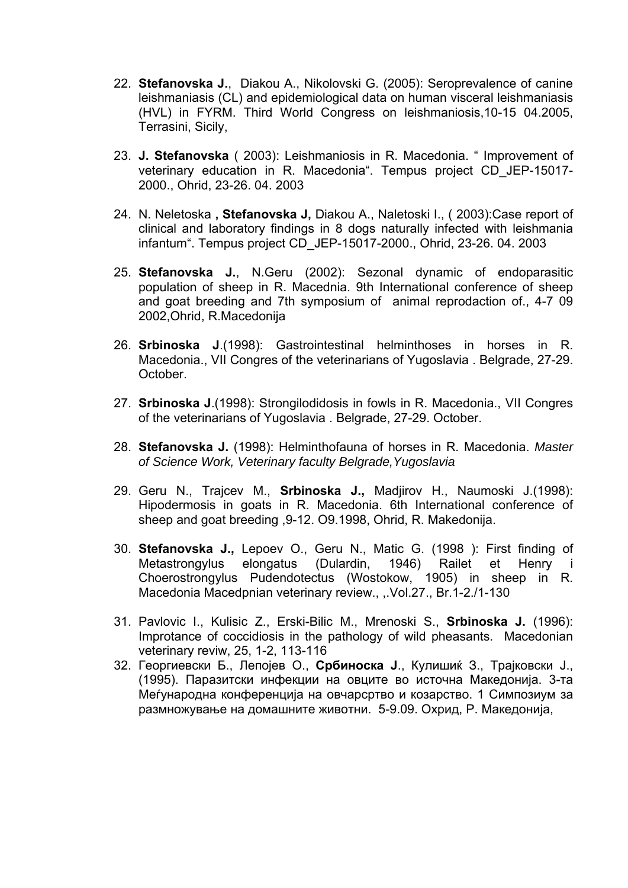- 22. **Stefanovska J.**, Diakou A., Nikolovski G. (2005): Seroprevalence of canine leishmaniаsis (CL) and epidemiological data on human visceral leishmaniаsis (HVL) in FYRM. Third World Congress on leishmaniosis,10-15 04.2005, Terrasini, Sicily,
- 23. **J. Stefanovska** ( 2003): Leishmaniosis in R. Macedonia. " Improvement of veterinary education in R. Macedonia". Tempus project CD\_JEP-15017- 2000., Ohrid, 23-26. 04. 2003
- 24. N. Neletoska **, Stefanovska J,** Diakou A., Naletoski I., ( 2003):Case report of clinical and laboratory findings in 8 dogs naturally infected with leishmania infantum". Tempus project CD\_JEP-15017-2000., Ohrid, 23-26. 04. 2003
- 25. **Stefanovska J.**, N.Geru (2002): Sezonal dynamic of endoparasitic population of sheep in R. Macednia. 9th International conference of sheep and goat breeding and 7th symposium of animal reprodaction of., 4-7 09 2002,Ohrid, R.Macedonija
- 26. **Srbinoska J**.(1998): Gastrointestinal helminthoses in horses in R. Macedonia., VII Congres of the veterinarians of Yugoslavia . Belgrade, 27-29. October.
- 27. **Srbinoska J**.(1998): Strongilodidosis in fowls in R. Macedonia., VII Congres of the veterinarians of Yugoslavia . Belgrade, 27-29. October.
- 28. **Stefanovska J.** (1998): Helminthofauna of horses in R. Macedonia. *Master of Science Work, Veterinary faculty Belgrade,Yugoslavia*
- 29. Geru N., Trajcev M., **Srbinoska J.,** Madjirov H., Naumoski J.(1998): Hipodermosis in goats in R. Macedonia. 6th International conference of sheep and goat breeding ,9-12. O9.1998, Ohrid, R. Makedonija.
- 30. **Stefanovska J.,** Lepoev O., Geru N., Matic G. (1998 ): First finding of Metastrongylus elongatus (Dulardin, 1946) Railet et Henry i Choerostrongylus Pudendotectus (Wostokow, 1905) in sheep in R. Macedonia Macedpnian veterinary review., ,.Vol.27., Br.1-2./1-130
- 31. Pavlovic I., Kulisic Z., Erski-Bilic M., Mrenoski S., **Srbinoska J.** (1996): Improtance of coccidiosis in the pathology of wild pheasants. Macedonian veterinary reviw, 25, 1-2, 113-116
- 32. Георгиевски Б., Лепојев О., **Србиноска Ј**., Кулишиќ З., Трајковски Ј., (1995). Паразитски инфекции на овците во источна Македонија. 3-та Меѓународна конференција на овчарсртво и козарство. 1 Симпозиум за размножување на домашните животни. 5-9.09. Охрид, Р. Македонија,